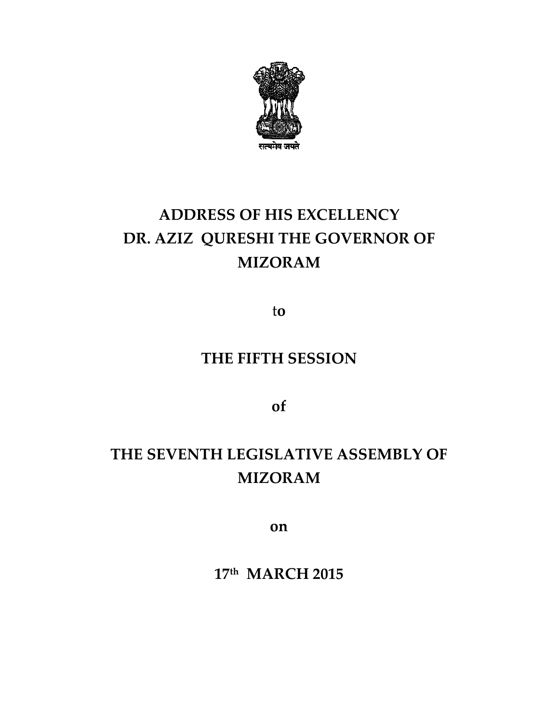

# ADDRESS OF HIS EXCELLENCY DR. AZIZ QURESHI THE GOVERNOR OF MIZORAM

to

### THE FIFTH SESSION

of

## THE SEVENTH LEGISLATIVE ASSEMBLY OF SEVENTH MIZORAM

on

17<sup>th</sup> MARCH 2015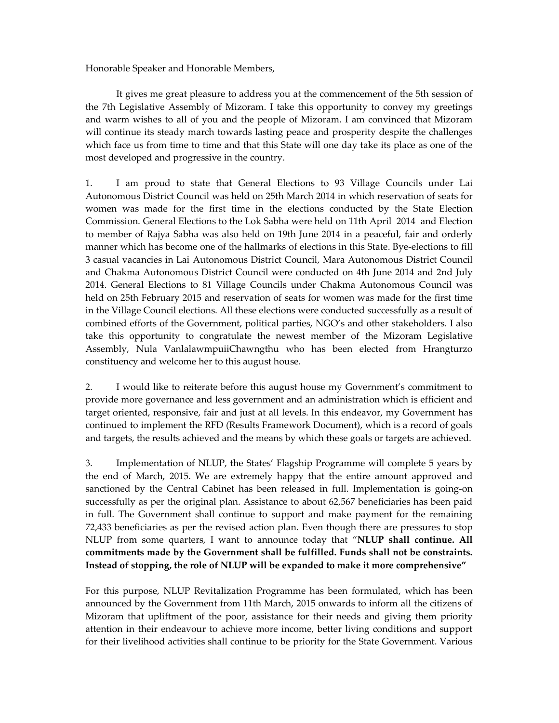Honorable Speaker and Honorable Members,

 It gives me great pleasure to address you at the commencement of the 5th session of the 7th Legislative Assembly of Mizoram. I take this opportunity to convey my greetings and warm wishes to all of you and the people of Mizoram. I am convinced that Mizoram will continue its steady march towards lasting peace and prosperity despite the challenges which face us from time to time and that this State will one day take its place as one of the most developed and progressive in the country.

1. I am proud to state that General Elections to 93 Village Councils under Lai Autonomous District Council was held on 25th March 2014 in which reservation of seats for women was made for the first time in the elections conducted by the State Election Commission. General Elections to the Lok Sabha were held on 11th April 2014 and Election to member of Rajya Sabha was also held on 19th June 2014 in a peaceful, fair and orderly manner which has become one of the hallmarks of elections in this State. Bye-elections to fill 3 casual vacancies in Lai Autonomous District Council, Mara Autonomous District Council and Chakma Autonomous District Council were conducted on 4th June 2014 and 2nd July 2014. General Elections to 81 Village Councils under Chakma Autonomous Council was held on 25th February 2015 and reservation of seats for women was made for the first time in the Village Council elections. All these elections were conducted successfully as a result of combined efforts of the Government, political parties, NGO's and other stakeholders. I also take this opportunity to congratulate the newest member of the Mizoram Legislative Assembly, Nula VanlalawmpuiiChawngthu who has been elected from Hrangturzo constituency and welcome her to this august house.

2. I would like to reiterate before this august house my Government's commitment to provide more governance and less government and an administration which is efficient and target oriented, responsive, fair and just at all levels. In this endeavor, my Government has continued to implement the RFD (Results Framework Document), which is a record of goals and targets, the results achieved and the means by which these goals or targets are achieved.

3. Implementation of NLUP, the States' Flagship Programme will complete 5 years by the end of March, 2015. We are extremely happy that the entire amount approved and sanctioned by the Central Cabinet has been released in full. Implementation is going-on successfully as per the original plan. Assistance to about 62,567 beneficiaries has been paid in full. The Government shall continue to support and make payment for the remaining 72,433 beneficiaries as per the revised action plan. Even though there are pressures to stop NLUP from some quarters, I want to announce today that "NLUP shall continue. All commitments made by the Government shall be fulfilled. Funds shall not be constraints. Instead of stopping, the role of NLUP will be expanded to make it more comprehensive"

For this purpose, NLUP Revitalization Programme has been formulated, which has been announced by the Government from 11th March, 2015 onwards to inform all the citizens of Mizoram that upliftment of the poor, assistance for their needs and giving them priority attention in their endeavour to achieve more income, better living conditions and support for their livelihood activities shall continue to be priority for the State Government. Various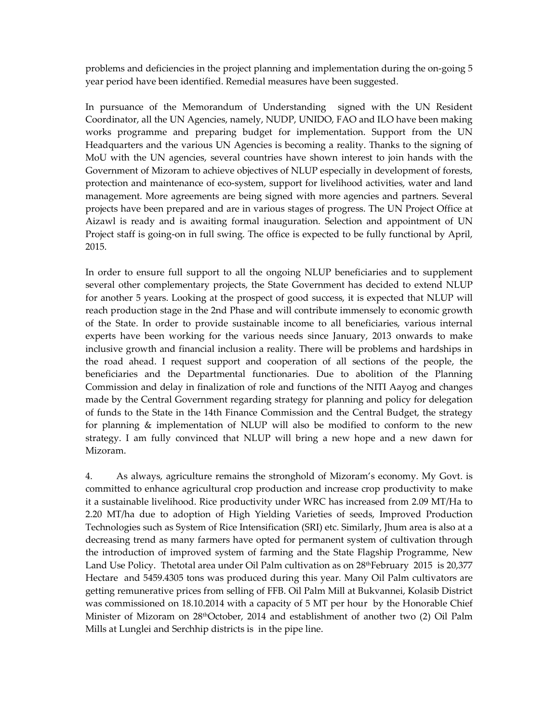problems and deficiencies in the project planning and implementation during the on-going 5 year period have been identified. Remedial measures have been suggested.

In pursuance of the Memorandum of Understanding signed with the UN Resident Coordinator, all the UN Agencies, namely, NUDP, UNIDO, FAO and ILO have been making works programme and preparing budget for implementation. Support from the UN Headquarters and the various UN Agencies is becoming a reality. Thanks to the signing of MoU with the UN agencies, several countries have shown interest to join hands with the Government of Mizoram to achieve objectives of NLUP especially in development of forests, protection and maintenance of eco-system, support for livelihood activities, water and land management. More agreements are being signed with more agencies and partners. Several projects have been prepared and are in various stages of progress. The UN Project Office at Aizawl is ready and is awaiting formal inauguration. Selection and appointment of UN Project staff is going-on in full swing. The office is expected to be fully functional by April, 2015.

In order to ensure full support to all the ongoing NLUP beneficiaries and to supplement several other complementary projects, the State Government has decided to extend NLUP for another 5 years. Looking at the prospect of good success, it is expected that NLUP will reach production stage in the 2nd Phase and will contribute immensely to economic growth of the State. In order to provide sustainable income to all beneficiaries, various internal experts have been working for the various needs since January, 2013 onwards to make inclusive growth and financial inclusion a reality. There will be problems and hardships in the road ahead. I request support and cooperation of all sections of the people, the beneficiaries and the Departmental functionaries. Due to abolition of the Planning Commission and delay in finalization of role and functions of the NITI Aayog and changes made by the Central Government regarding strategy for planning and policy for delegation of funds to the State in the 14th Finance Commission and the Central Budget, the strategy for planning & implementation of NLUP will also be modified to conform to the new strategy. I am fully convinced that NLUP will bring a new hope and a new dawn for Mizoram.

4. As always, agriculture remains the stronghold of Mizoram's economy. My Govt. is committed to enhance agricultural crop production and increase crop productivity to make it a sustainable livelihood. Rice productivity under WRC has increased from 2.09 MT/Ha to 2.20 MT/ha due to adoption of High Yielding Varieties of seeds, Improved Production Technologies such as System of Rice Intensification (SRI) etc. Similarly, Jhum area is also at a decreasing trend as many farmers have opted for permanent system of cultivation through the introduction of improved system of farming and the State Flagship Programme, New Land Use Policy. Thetotal area under Oil Palm cultivation as on  $28<sup>th</sup>February 2015$  is  $20,377$ Hectare and 5459.4305 tons was produced during this year. Many Oil Palm cultivators are getting remunerative prices from selling of FFB. Oil Palm Mill at Bukvannei, Kolasib District was commissioned on 18.10.2014 with a capacity of 5 MT per hour by the Honorable Chief Minister of Mizoram on 28thOctober, 2014 and establishment of another two (2) Oil Palm Mills at Lunglei and Serchhip districts is in the pipe line.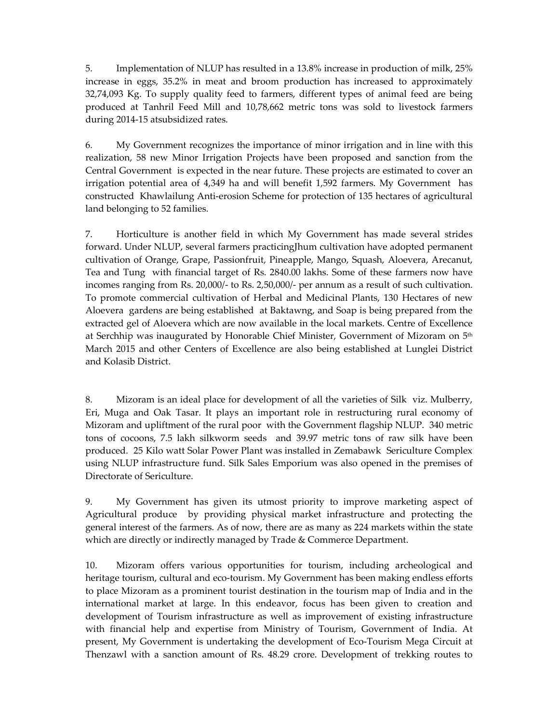5. Implementation of NLUP has resulted in a 13.8% increase in production of milk, 25% increase in eggs, 35.2% in meat and broom production has increased to approximately 32,74,093 Kg. To supply quality feed to farmers, different types of animal feed are being produced at Tanhril Feed Mill and 10,78,662 metric tons was sold to livestock farmers during 2014-15 atsubsidized rates.

6. My Government recognizes the importance of minor irrigation and in line with this realization, 58 new Minor Irrigation Projects have been proposed and sanction from the Central Government is expected in the near future. These projects are estimated to cover an irrigation potential area of 4,349 ha and will benefit 1,592 farmers. My Government has constructed Khawlailung Anti-erosion Scheme for protection of 135 hectares of agricultural land belonging to 52 families.

7. Horticulture is another field in which My Government has made several strides forward. Under NLUP, several farmers practicingJhum cultivation have adopted permanent cultivation of Orange, Grape, Passionfruit, Pineapple, Mango, Squash, Aloevera, Arecanut, Tea and Tung with financial target of Rs. 2840.00 lakhs. Some of these farmers now have incomes ranging from Rs. 20,000/- to Rs. 2,50,000/- per annum as a result of such cultivation. To promote commercial cultivation of Herbal and Medicinal Plants, 130 Hectares of new Aloevera gardens are being established at Baktawng, and Soap is being prepared from the extracted gel of Aloevera which are now available in the local markets. Centre of Excellence at Serchhip was inaugurated by Honorable Chief Minister, Government of Mizoram on 5<sup>th</sup> March 2015 and other Centers of Excellence are also being established at Lunglei District and Kolasib District.

8. Mizoram is an ideal place for development of all the varieties of Silk viz. Mulberry, Eri, Muga and Oak Tasar. It plays an important role in restructuring rural economy of Mizoram and upliftment of the rural poor with the Government flagship NLUP. 340 metric tons of cocoons, 7.5 lakh silkworm seeds and 39.97 metric tons of raw silk have been produced. 25 Kilo watt Solar Power Plant was installed in Zemabawk Sericulture Complex using NLUP infrastructure fund. Silk Sales Emporium was also opened in the premises of Directorate of Sericulture.

9. My Government has given its utmost priority to improve marketing aspect of Agricultural produce by providing physical market infrastructure and protecting the general interest of the farmers. As of now, there are as many as 224 markets within the state which are directly or indirectly managed by Trade & Commerce Department.

10. Mizoram offers various opportunities for tourism, including archeological and heritage tourism, cultural and eco-tourism. My Government has been making endless efforts to place Mizoram as a prominent tourist destination in the tourism map of India and in the international market at large. In this endeavor, focus has been given to creation and development of Tourism infrastructure as well as improvement of existing infrastructure with financial help and expertise from Ministry of Tourism, Government of India. At present, My Government is undertaking the development of Eco-Tourism Mega Circuit at Thenzawl with a sanction amount of Rs. 48.29 crore. Development of trekking routes to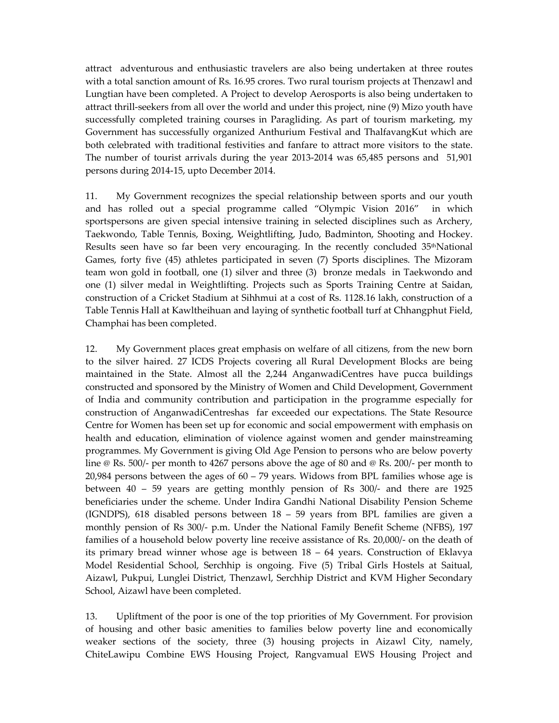attract adventurous and enthusiastic travelers are also being undertaken at three routes with a total sanction amount of Rs. 16.95 crores. Two rural tourism projects at Thenzawl and Lungtian have been completed. A Project to develop Aerosports is also being undertaken to attract thrill-seekers from all over the world and under this project, nine (9) Mizo youth have successfully completed training courses in Paragliding. As part of tourism marketing, my Government has successfully organized Anthurium Festival and ThalfavangKut which are both celebrated with traditional festivities and fanfare to attract more visitors to the state. The number of tourist arrivals during the year 2013-2014 was 65,485 persons and 51,901 persons during 2014-15, upto December 2014.

11. My Government recognizes the special relationship between sports and our youth and has rolled out a special programme called "Olympic Vision 2016" in which sportspersons are given special intensive training in selected disciplines such as Archery, Taekwondo, Table Tennis, Boxing, Weightlifting, Judo, Badminton, Shooting and Hockey. Results seen have so far been very encouraging. In the recently concluded  $35<sup>th</sup>National$ Games, forty five (45) athletes participated in seven (7) Sports disciplines. The Mizoram team won gold in football, one (1) silver and three (3) bronze medals in Taekwondo and one (1) silver medal in Weightlifting. Projects such as Sports Training Centre at Saidan, construction of a Cricket Stadium at Sihhmui at a cost of Rs. 1128.16 lakh, construction of a Table Tennis Hall at Kawltheihuan and laying of synthetic football turf at Chhangphut Field, Champhai has been completed.

12. My Government places great emphasis on welfare of all citizens, from the new born to the silver haired. 27 ICDS Projects covering all Rural Development Blocks are being maintained in the State. Almost all the 2,244 AnganwadiCentres have pucca buildings constructed and sponsored by the Ministry of Women and Child Development, Government of India and community contribution and participation in the programme especially for construction of AnganwadiCentreshas far exceeded our expectations. The State Resource Centre for Women has been set up for economic and social empowerment with emphasis on health and education, elimination of violence against women and gender mainstreaming programmes. My Government is giving Old Age Pension to persons who are below poverty line @ Rs. 500/- per month to 4267 persons above the age of 80 and @ Rs. 200/- per month to 20,984 persons between the ages of  $60 - 79$  years. Widows from BPL families whose age is between 40 – 59 years are getting monthly pension of Rs 300/- and there are 1925 beneficiaries under the scheme. Under Indira Gandhi National Disability Pension Scheme (IGNDPS), 618 disabled persons between 18 – 59 years from BPL families are given a monthly pension of Rs 300/- p.m. Under the National Family Benefit Scheme (NFBS), 197 families of a household below poverty line receive assistance of Rs. 20,000/- on the death of its primary bread winner whose age is between 18 – 64 years. Construction of Eklavya Model Residential School, Serchhip is ongoing. Five (5) Tribal Girls Hostels at Saitual, Aizawl, Pukpui, Lunglei District, Thenzawl, Serchhip District and KVM Higher Secondary School, Aizawl have been completed.

13. Upliftment of the poor is one of the top priorities of My Government. For provision of housing and other basic amenities to families below poverty line and economically weaker sections of the society, three (3) housing projects in Aizawl City, namely, ChiteLawipu Combine EWS Housing Project, Rangvamual EWS Housing Project and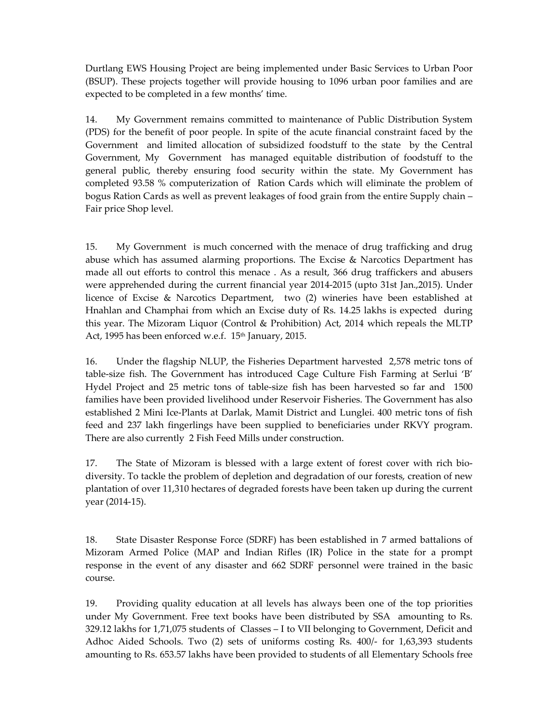Durtlang EWS Housing Project are being implemented under Basic Services to Urban Poor (BSUP). These projects together will provide housing to 1096 urban poor families and are expected to be completed in a few months' time.

14. My Government remains committed to maintenance of Public Distribution System (PDS) for the benefit of poor people. In spite of the acute financial constraint faced by the Government and limited allocation of subsidized foodstuff to the state by the Central Government, My Government has managed equitable distribution of foodstuff to the general public, thereby ensuring food security within the state. My Government has completed 93.58 % computerization of Ration Cards which will eliminate the problem of bogus Ration Cards as well as prevent leakages of food grain from the entire Supply chain – Fair price Shop level.

15. My Government is much concerned with the menace of drug trafficking and drug abuse which has assumed alarming proportions. The Excise & Narcotics Department has made all out efforts to control this menace . As a result, 366 drug traffickers and abusers were apprehended during the current financial year 2014-2015 (upto 31st Jan.,2015). Under licence of Excise & Narcotics Department, two (2) wineries have been established at Hnahlan and Champhai from which an Excise duty of Rs. 14.25 lakhs is expected during this year. The Mizoram Liquor (Control & Prohibition) Act, 2014 which repeals the MLTP Act, 1995 has been enforced w.e.f. 15<sup>th</sup> January, 2015.

16. Under the flagship NLUP, the Fisheries Department harvested 2,578 metric tons of table-size fish. The Government has introduced Cage Culture Fish Farming at Serlui 'B' Hydel Project and 25 metric tons of table-size fish has been harvested so far and 1500 families have been provided livelihood under Reservoir Fisheries. The Government has also established 2 Mini Ice-Plants at Darlak, Mamit District and Lunglei. 400 metric tons of fish feed and 237 lakh fingerlings have been supplied to beneficiaries under RKVY program. There are also currently 2 Fish Feed Mills under construction.

17. The State of Mizoram is blessed with a large extent of forest cover with rich biodiversity. To tackle the problem of depletion and degradation of our forests, creation of new plantation of over 11,310 hectares of degraded forests have been taken up during the current year (2014-15).

18. State Disaster Response Force (SDRF) has been established in 7 armed battalions of Mizoram Armed Police (MAP and Indian Rifles (IR) Police in the state for a prompt response in the event of any disaster and 662 SDRF personnel were trained in the basic course.

19. Providing quality education at all levels has always been one of the top priorities under My Government. Free text books have been distributed by SSA amounting to Rs. 329.12 lakhs for 1,71,075 students of Classes – I to VII belonging to Government, Deficit and Adhoc Aided Schools. Two (2) sets of uniforms costing Rs. 400/- for 1,63,393 students amounting to Rs. 653.57 lakhs have been provided to students of all Elementary Schools free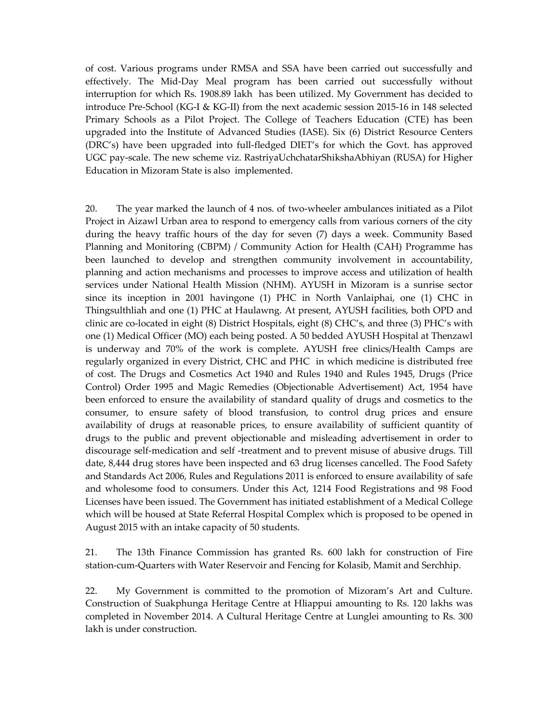of cost. Various programs under RMSA and SSA have been carried out successfully and effectively. The Mid-Day Meal program has been carried out successfully without interruption for which Rs. 1908.89 lakh has been utilized. My Government has decided to introduce Pre-School (KG-I & KG-II) from the next academic session 2015-16 in 148 selected Primary Schools as a Pilot Project. The College of Teachers Education (CTE) has been upgraded into the Institute of Advanced Studies (IASE). Six (6) District Resource Centers (DRC's) have been upgraded into full-fledged DIET's for which the Govt. has approved UGC pay-scale. The new scheme viz. RastriyaUchchatarShikshaAbhiyan (RUSA) for Higher Education in Mizoram State is also implemented.

20. The year marked the launch of 4 nos. of two-wheeler ambulances initiated as a Pilot Project in Aizawl Urban area to respond to emergency calls from various corners of the city during the heavy traffic hours of the day for seven (7) days a week. Community Based Planning and Monitoring (CBPM) / Community Action for Health (CAH) Programme has been launched to develop and strengthen community involvement in accountability, planning and action mechanisms and processes to improve access and utilization of health services under National Health Mission (NHM). AYUSH in Mizoram is a sunrise sector since its inception in 2001 havingone (1) PHC in North Vanlaiphai, one (1) CHC in Thingsulthliah and one (1) PHC at Haulawng. At present, AYUSH facilities, both OPD and clinic are co-located in eight (8) District Hospitals, eight (8) CHC's, and three (3) PHC's with one (1) Medical Officer (MO) each being posted. A 50 bedded AYUSH Hospital at Thenzawl is underway and 70% of the work is complete. AYUSH free clinics/Health Camps are regularly organized in every District, CHC and PHC in which medicine is distributed free of cost. The Drugs and Cosmetics Act 1940 and Rules 1940 and Rules 1945, Drugs (Price Control) Order 1995 and Magic Remedies (Objectionable Advertisement) Act, 1954 have been enforced to ensure the availability of standard quality of drugs and cosmetics to the consumer, to ensure safety of blood transfusion, to control drug prices and ensure availability of drugs at reasonable prices, to ensure availability of sufficient quantity of drugs to the public and prevent objectionable and misleading advertisement in order to discourage self-medication and self -treatment and to prevent misuse of abusive drugs. Till date, 8,444 drug stores have been inspected and 63 drug licenses cancelled. The Food Safety and Standards Act 2006, Rules and Regulations 2011 is enforced to ensure availability of safe and wholesome food to consumers. Under this Act, 1214 Food Registrations and 98 Food Licenses have been issued. The Government has initiated establishment of a Medical College which will be housed at State Referral Hospital Complex which is proposed to be opened in August 2015 with an intake capacity of 50 students.

21. The 13th Finance Commission has granted Rs. 600 lakh for construction of Fire station-cum-Quarters with Water Reservoir and Fencing for Kolasib, Mamit and Serchhip.

22. My Government is committed to the promotion of Mizoram's Art and Culture. Construction of Suakphunga Heritage Centre at Hliappui amounting to Rs. 120 lakhs was completed in November 2014. A Cultural Heritage Centre at Lunglei amounting to Rs. 300 lakh is under construction.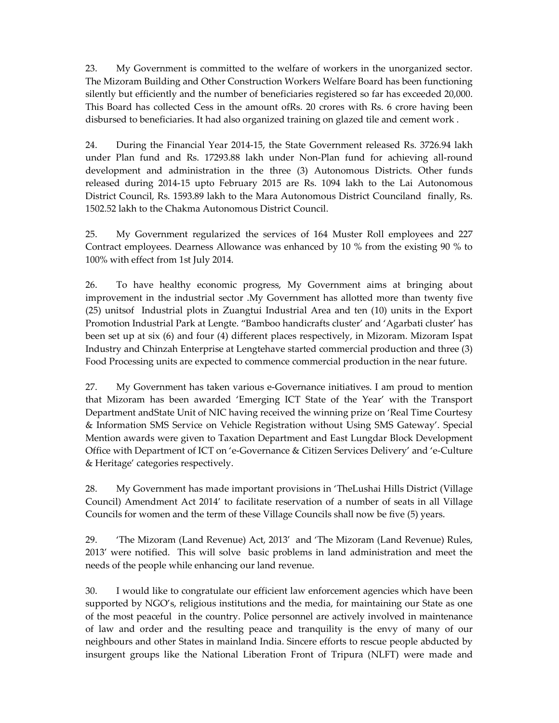23. My Government is committed to the welfare of workers in the unorganized sector. The Mizoram Building and Other Construction Workers Welfare Board has been functioning silently but efficiently and the number of beneficiaries registered so far has exceeded 20,000. This Board has collected Cess in the amount ofRs. 20 crores with Rs. 6 crore having been disbursed to beneficiaries. It had also organized training on glazed tile and cement work .

24. During the Financial Year 2014-15, the State Government released Rs. 3726.94 lakh under Plan fund and Rs. 17293.88 lakh under Non-Plan fund for achieving all-round development and administration in the three (3) Autonomous Districts. Other funds released during 2014-15 upto February 2015 are Rs. 1094 lakh to the Lai Autonomous District Council, Rs. 1593.89 lakh to the Mara Autonomous District Counciland finally, Rs. 1502.52 lakh to the Chakma Autonomous District Council.

25. My Government regularized the services of 164 Muster Roll employees and 227 Contract employees. Dearness Allowance was enhanced by 10 % from the existing 90 % to 100% with effect from 1st July 2014.

26. To have healthy economic progress, My Government aims at bringing about improvement in the industrial sector .My Government has allotted more than twenty five (25) unitsof Industrial plots in Zuangtui Industrial Area and ten (10) units in the Export Promotion Industrial Park at Lengte. "Bamboo handicrafts cluster' and 'Agarbati cluster' has been set up at six (6) and four (4) different places respectively, in Mizoram. Mizoram Ispat Industry and Chinzah Enterprise at Lengtehave started commercial production and three (3) Food Processing units are expected to commence commercial production in the near future.

27. My Government has taken various e-Governance initiatives. I am proud to mention that Mizoram has been awarded 'Emerging ICT State of the Year' with the Transport Department andState Unit of NIC having received the winning prize on 'Real Time Courtesy & Information SMS Service on Vehicle Registration without Using SMS Gateway'. Special Mention awards were given to Taxation Department and East Lungdar Block Development Office with Department of ICT on 'e-Governance & Citizen Services Delivery' and 'e-Culture & Heritage' categories respectively.

28. My Government has made important provisions in 'TheLushai Hills District (Village Council) Amendment Act 2014' to facilitate reservation of a number of seats in all Village Councils for women and the term of these Village Councils shall now be five (5) years.

29. 'The Mizoram (Land Revenue) Act, 2013' and 'The Mizoram (Land Revenue) Rules, 2013' were notified. This will solve basic problems in land administration and meet the needs of the people while enhancing our land revenue.

30. I would like to congratulate our efficient law enforcement agencies which have been supported by NGO's, religious institutions and the media, for maintaining our State as one of the most peaceful in the country. Police personnel are actively involved in maintenance of law and order and the resulting peace and tranquility is the envy of many of our neighbours and other States in mainland India. Sincere efforts to rescue people abducted by insurgent groups like the National Liberation Front of Tripura (NLFT) were made and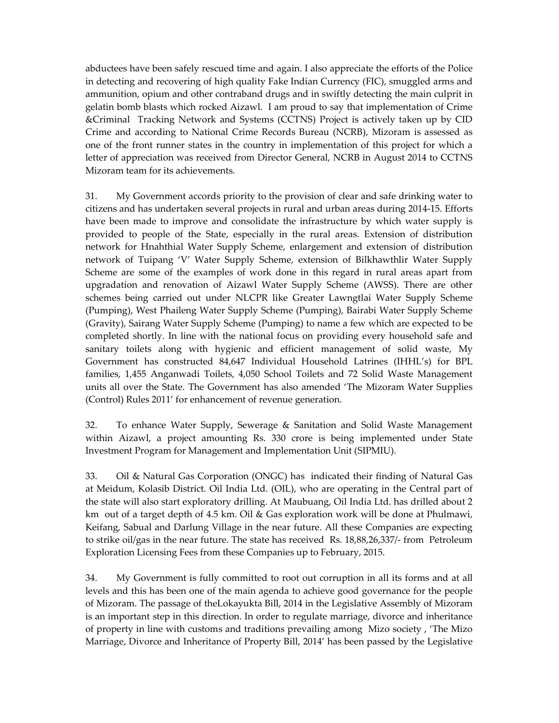abductees have been safely rescued time and again. I also appreciate the efforts of the Police in detecting and recovering of high quality Fake Indian Currency (FIC), smuggled arms and ammunition, opium and other contraband drugs and in swiftly detecting the main culprit in gelatin bomb blasts which rocked Aizawl. I am proud to say that implementation of Crime &Criminal Tracking Network and Systems (CCTNS) Project is actively taken up by CID Crime and according to National Crime Records Bureau (NCRB), Mizoram is assessed as one of the front runner states in the country in implementation of this project for which a letter of appreciation was received from Director General, NCRB in August 2014 to CCTNS Mizoram team for its achievements.

31. My Government accords priority to the provision of clear and safe drinking water to citizens and has undertaken several projects in rural and urban areas during 2014-15. Efforts have been made to improve and consolidate the infrastructure by which water supply is provided to people of the State, especially in the rural areas. Extension of distribution network for Hnahthial Water Supply Scheme, enlargement and extension of distribution network of Tuipang 'V' Water Supply Scheme, extension of Bilkhawthlir Water Supply Scheme are some of the examples of work done in this regard in rural areas apart from upgradation and renovation of Aizawl Water Supply Scheme (AWSS). There are other schemes being carried out under NLCPR like Greater Lawngtlai Water Supply Scheme (Pumping), West Phaileng Water Supply Scheme (Pumping), Bairabi Water Supply Scheme (Gravity), Sairang Water Supply Scheme (Pumping) to name a few which are expected to be completed shortly. In line with the national focus on providing every household safe and sanitary toilets along with hygienic and efficient management of solid waste, My Government has constructed 84,647 Individual Household Latrines (IHHL's) for BPL families, 1,455 Anganwadi Toilets, 4,050 School Toilets and 72 Solid Waste Management units all over the State. The Government has also amended 'The Mizoram Water Supplies (Control) Rules 2011' for enhancement of revenue generation.

32. To enhance Water Supply, Sewerage & Sanitation and Solid Waste Management within Aizawl, a project amounting Rs. 330 crore is being implemented under State Investment Program for Management and Implementation Unit (SIPMIU).

33. Oil & Natural Gas Corporation (ONGC) has indicated their finding of Natural Gas at Meidum, Kolasib District. Oil India Ltd. (OIL), who are operating in the Central part of the state will also start exploratory drilling. At Maubuang, Oil India Ltd. has drilled about 2 km out of a target depth of 4.5 km. Oil & Gas exploration work will be done at Phulmawi, Keifang, Sabual and Darlung Village in the near future. All these Companies are expecting to strike oil/gas in the near future. The state has received Rs. 18,88,26,337/- from Petroleum Exploration Licensing Fees from these Companies up to February, 2015.

34. My Government is fully committed to root out corruption in all its forms and at all levels and this has been one of the main agenda to achieve good governance for the people of Mizoram. The passage of theLokayukta Bill, 2014 in the Legislative Assembly of Mizoram is an important step in this direction. In order to regulate marriage, divorce and inheritance of property in line with customs and traditions prevailing among Mizo society , 'The Mizo Marriage, Divorce and Inheritance of Property Bill, 2014' has been passed by the Legislative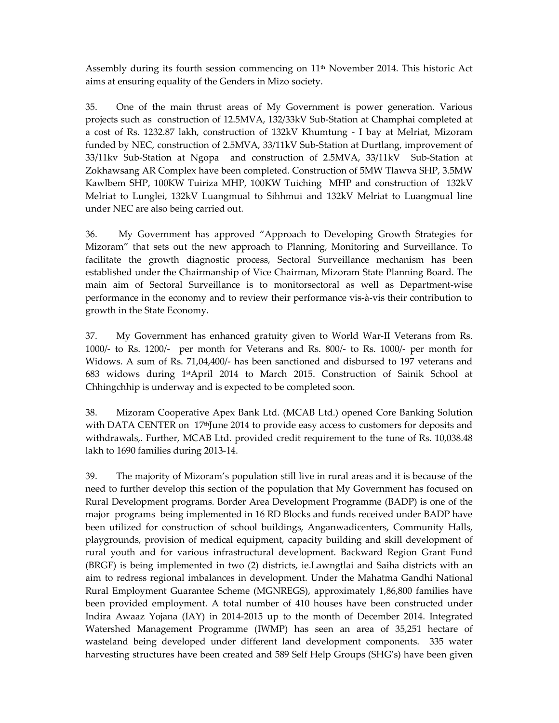Assembly during its fourth session commencing on  $11<sup>th</sup>$  November 2014. This historic Act aims at ensuring equality of the Genders in Mizo society.

35. One of the main thrust areas of My Government is power generation. Various projects such as construction of 12.5MVA, 132/33kV Sub-Station at Champhai completed at a cost of Rs. 1232.87 lakh, construction of 132kV Khumtung - I bay at Melriat, Mizoram funded by NEC, construction of 2.5MVA, 33/11kV Sub-Station at Durtlang, improvement of 33/11kv Sub-Station at Ngopa and construction of 2.5MVA, 33/11kV Sub-Station at Zokhawsang AR Complex have been completed. Construction of 5MW Tlawva SHP, 3.5MW Kawlbem SHP, 100KW Tuiriza MHP, 100KW Tuiching MHP and construction of 132kV Melriat to Lunglei, 132kV Luangmual to Sihhmui and 132kV Melriat to Luangmual line under NEC are also being carried out.

36. My Government has approved "Approach to Developing Growth Strategies for Mizoram" that sets out the new approach to Planning, Monitoring and Surveillance. To facilitate the growth diagnostic process, Sectoral Surveillance mechanism has been established under the Chairmanship of Vice Chairman, Mizoram State Planning Board. The main aim of Sectoral Surveillance is to monitorsectoral as well as Department-wise performance in the economy and to review their performance vis-à-vis their contribution to growth in the State Economy.

37. My Government has enhanced gratuity given to World War-II Veterans from Rs. 1000/- to Rs. 1200/- per month for Veterans and Rs. 800/- to Rs. 1000/- per month for Widows. A sum of Rs. 71,04,400/- has been sanctioned and disbursed to 197 veterans and 683 widows during 1stApril 2014 to March 2015. Construction of Sainik School at Chhingchhip is underway and is expected to be completed soon.

38. Mizoram Cooperative Apex Bank Ltd. (MCAB Ltd.) opened Core Banking Solution with DATA CENTER on  $17<sup>th</sup>$  June 2014 to provide easy access to customers for deposits and withdrawals,. Further, MCAB Ltd. provided credit requirement to the tune of Rs. 10,038.48 lakh to 1690 families during 2013-14.

39. The majority of Mizoram's population still live in rural areas and it is because of the need to further develop this section of the population that My Government has focused on Rural Development programs. Border Area Development Programme (BADP) is one of the major programs being implemented in 16 RD Blocks and funds received under BADP have been utilized for construction of school buildings, Anganwadicenters, Community Halls, playgrounds, provision of medical equipment, capacity building and skill development of rural youth and for various infrastructural development. Backward Region Grant Fund (BRGF) is being implemented in two (2) districts, ie.Lawngtlai and Saiha districts with an aim to redress regional imbalances in development. Under the Mahatma Gandhi National Rural Employment Guarantee Scheme (MGNREGS), approximately 1,86,800 families have been provided employment. A total number of 410 houses have been constructed under Indira Awaaz Yojana (IAY) in 2014-2015 up to the month of December 2014. Integrated Watershed Management Programme (IWMP) has seen an area of 35,251 hectare of wasteland being developed under different land development components. 335 water harvesting structures have been created and 589 Self Help Groups (SHG's) have been given